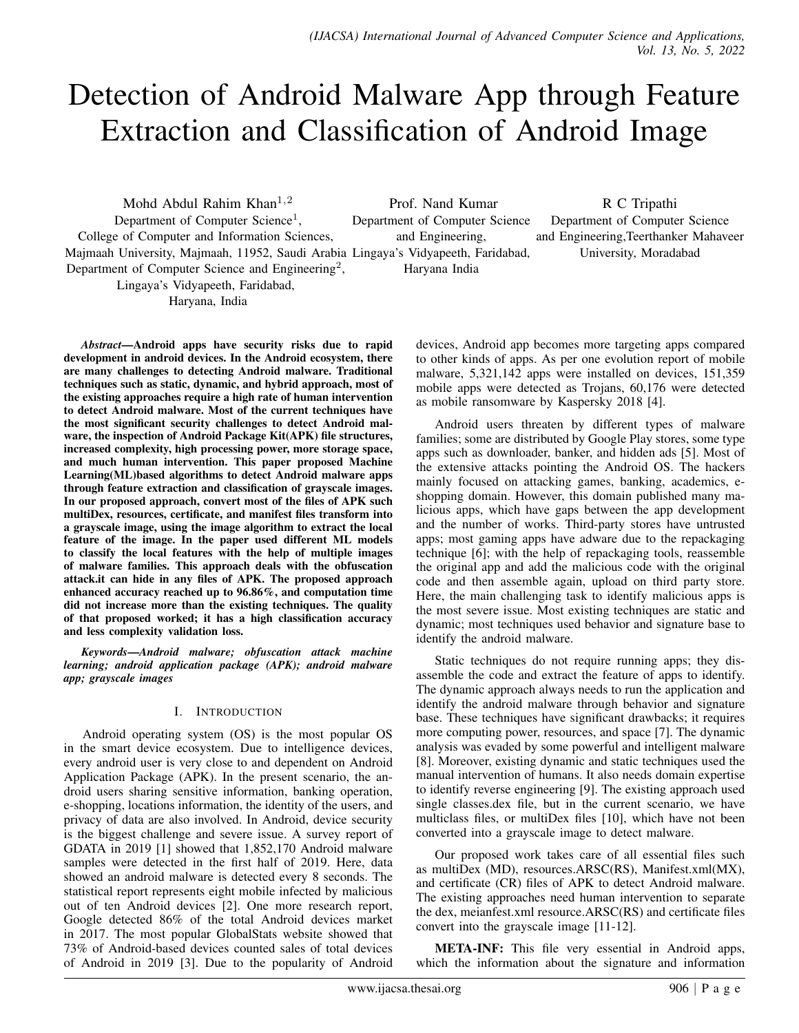# Detection of Android Malware App through Feature Extraction and Classification of Android Image

Mohd Abdul Rahim Khan<sup>1,2</sup> Department of Computer Science<sup>1</sup>, College of Computer and Information Sciences, Majmaah University, Majmaah, 11952, Saudi Arabia Lingaya's Vidyapeeth, Faridabad, Department of Computer Science and Engineering<sup>2</sup>, Lingaya's Vidyapeeth, Faridabad, Haryana, India Prof. Nand Kumar Department of Computer Science and Engineering, Haryana India R C Tripathi Department of Computer Science and Engineering,Teerthanker Mahaveer University, Moradabad

*Abstract*—Android apps have security risks due to rapid development in android devices. In the Android ecosystem, there are many challenges to detecting Android malware. Traditional techniques such as static, dynamic, and hybrid approach, most of the existing approaches require a high rate of human intervention to detect Android malware. Most of the current techniques have the most significant security challenges to detect Android malware, the inspection of Android Package Kit(APK) file structures, increased complexity, high processing power, more storage space, and much human intervention. This paper proposed Machine Learning(ML)based algorithms to detect Android malware apps through feature extraction and classification of grayscale images. In our proposed approach, convert most of the files of APK such multiDex, resources, certificate, and manifest files transform into a grayscale image, using the image algorithm to extract the local feature of the image. In the paper used different ML models to classify the local features with the help of multiple images of malware families. This approach deals with the obfuscation attack.it can hide in any files of APK. The proposed approach enhanced accuracy reached up to 96.86%, and computation time did not increase more than the existing techniques. The quality of that proposed worked; it has a high classification accuracy and less complexity validation loss.

*Keywords*—*Android malware; obfuscation attack machine learning; android application package (APK); android malware app; grayscale images*

# I. INTRODUCTION

Android operating system (OS) is the most popular OS in the smart device ecosystem. Due to intelligence devices, every android user is very close to and dependent on Android Application Package (APK). In the present scenario, the android users sharing sensitive information, banking operation, e-shopping, locations information, the identity of the users, and privacy of data are also involved. In Android, device security is the biggest challenge and severe issue. A survey report of GDATA in 2019 [1] showed that 1,852,170 Android malware samples were detected in the first half of 2019. Here, data showed an android malware is detected every 8 seconds. The statistical report represents eight mobile infected by malicious out of ten Android devices [2]. One more research report, Google detected 86% of the total Android devices market in 2017. The most popular GlobalStats website showed that 73% of Android-based devices counted sales of total devices of Android in 2019 [3]. Due to the popularity of Android devices, Android app becomes more targeting apps compared to other kinds of apps. As per one evolution report of mobile malware, 5,321,142 apps were installed on devices, 151,359 mobile apps were detected as Trojans, 60,176 were detected as mobile ransomware by Kaspersky 2018 [4].

Android users threaten by different types of malware families; some are distributed by Google Play stores, some type apps such as downloader, banker, and hidden ads [5]. Most of the extensive attacks pointing the Android OS. The hackers mainly focused on attacking games, banking, academics, eshopping domain. However, this domain published many malicious apps, which have gaps between the app development and the number of works. Third-party stores have untrusted apps; most gaming apps have adware due to the repackaging technique [6]; with the help of repackaging tools, reassemble the original app and add the malicious code with the original code and then assemble again, upload on third party store. Here, the main challenging task to identify malicious apps is the most severe issue. Most existing techniques are static and dynamic; most techniques used behavior and signature base to identify the android malware.

Static techniques do not require running apps; they disassemble the code and extract the feature of apps to identify. The dynamic approach always needs to run the application and identify the android malware through behavior and signature base. These techniques have significant drawbacks; it requires more computing power, resources, and space [7]. The dynamic analysis was evaded by some powerful and intelligent malware [8]. Moreover, existing dynamic and static techniques used the manual intervention of humans. It also needs domain expertise to identify reverse engineering [9]. The existing approach used single classes.dex file, but in the current scenario, we have multiclass files, or multiDex files [10], which have not been converted into a grayscale image to detect malware.

Our proposed work takes care of all essential files such as multiDex (MD), resources.ARSC(RS), Manifest.xml(MX), and certificate (CR) files of APK to detect Android malware. The existing approaches need human intervention to separate the dex, meianfest.xml resource.ARSC(RS) and certificate files convert into the grayscale image [11-12].

META-INF: This file very essential in Android apps, which the information about the signature and information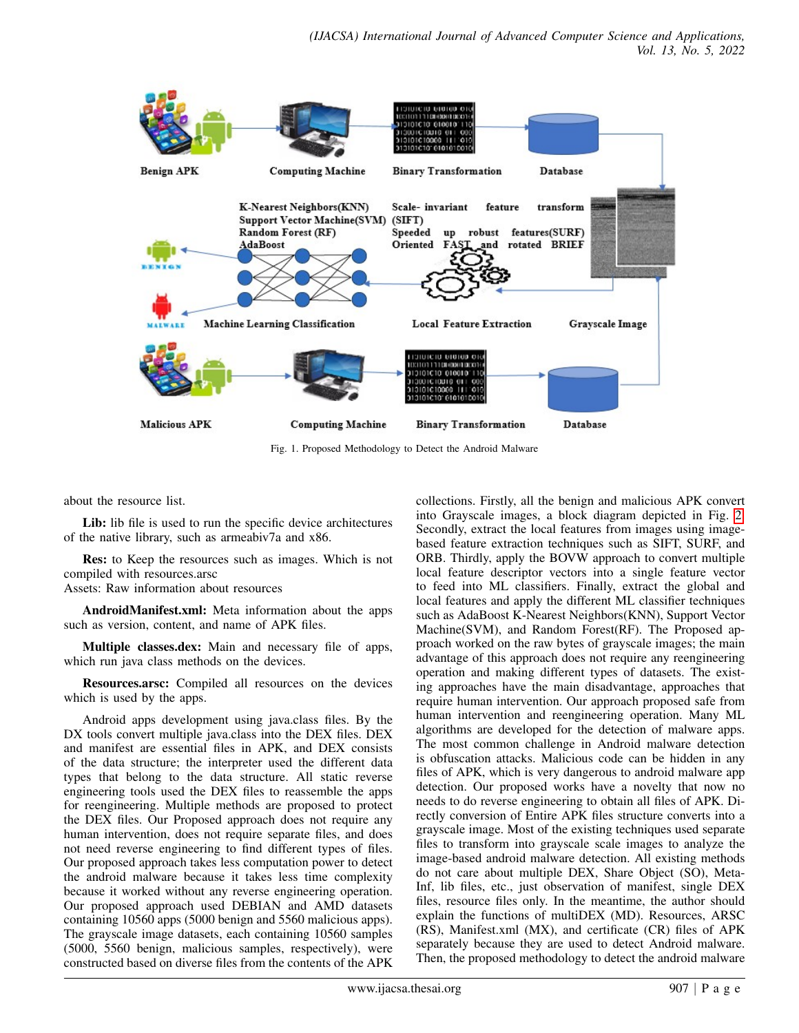<span id="page-1-0"></span>

Fig. 1. Proposed Methodology to Detect the Android Malware

about the resource list.

Lib: lib file is used to run the specific device architectures of the native library, such as armeabiv7a and x86.

Res: to Keep the resources such as images. Which is not compiled with resources.arsc

Assets: Raw information about resources

AndroidManifest.xml: Meta information about the apps such as version, content, and name of APK files.

Multiple classes.dex: Main and necessary file of apps, which run java class methods on the devices.

Resources.arsc: Compiled all resources on the devices which is used by the apps.

Android apps development using java.class files. By the DX tools convert multiple java.class into the DEX files. DEX and manifest are essential files in APK, and DEX consists of the data structure; the interpreter used the different data types that belong to the data structure. All static reverse engineering tools used the DEX files to reassemble the apps for reengineering. Multiple methods are proposed to protect the DEX files. Our Proposed approach does not require any human intervention, does not require separate files, and does not need reverse engineering to find different types of files. Our proposed approach takes less computation power to detect the android malware because it takes less time complexity because it worked without any reverse engineering operation. Our proposed approach used DEBIAN and AMD datasets containing 10560 apps (5000 benign and 5560 malicious apps). The grayscale image datasets, each containing 10560 samples (5000, 5560 benign, malicious samples, respectively), were constructed based on diverse files from the contents of the APK

collections. Firstly, all the benign and malicious APK convert into Grayscale images, a block diagram depicted in Fig. [2.](#page-3-0) Secondly, extract the local features from images using imagebased feature extraction techniques such as SIFT, SURF, and ORB. Thirdly, apply the BOVW approach to convert multiple local feature descriptor vectors into a single feature vector to feed into ML classifiers. Finally, extract the global and local features and apply the different ML classifier techniques such as AdaBoost K-Nearest Neighbors(KNN), Support Vector Machine(SVM), and Random Forest(RF). The Proposed approach worked on the raw bytes of grayscale images; the main advantage of this approach does not require any reengineering operation and making different types of datasets. The existing approaches have the main disadvantage, approaches that require human intervention. Our approach proposed safe from human intervention and reengineering operation. Many ML algorithms are developed for the detection of malware apps. The most common challenge in Android malware detection is obfuscation attacks. Malicious code can be hidden in any files of APK, which is very dangerous to android malware app detection. Our proposed works have a novelty that now no needs to do reverse engineering to obtain all files of APK. Directly conversion of Entire APK files structure converts into a grayscale image. Most of the existing techniques used separate files to transform into grayscale scale images to analyze the image-based android malware detection. All existing methods do not care about multiple DEX, Share Object (SO), Meta-Inf, lib files, etc., just observation of manifest, single DEX files, resource files only. In the meantime, the author should explain the functions of multiDEX (MD). Resources, ARSC (RS), Manifest.xml (MX), and certificate (CR) files of APK separately because they are used to detect Android malware. Then, the proposed methodology to detect the android malware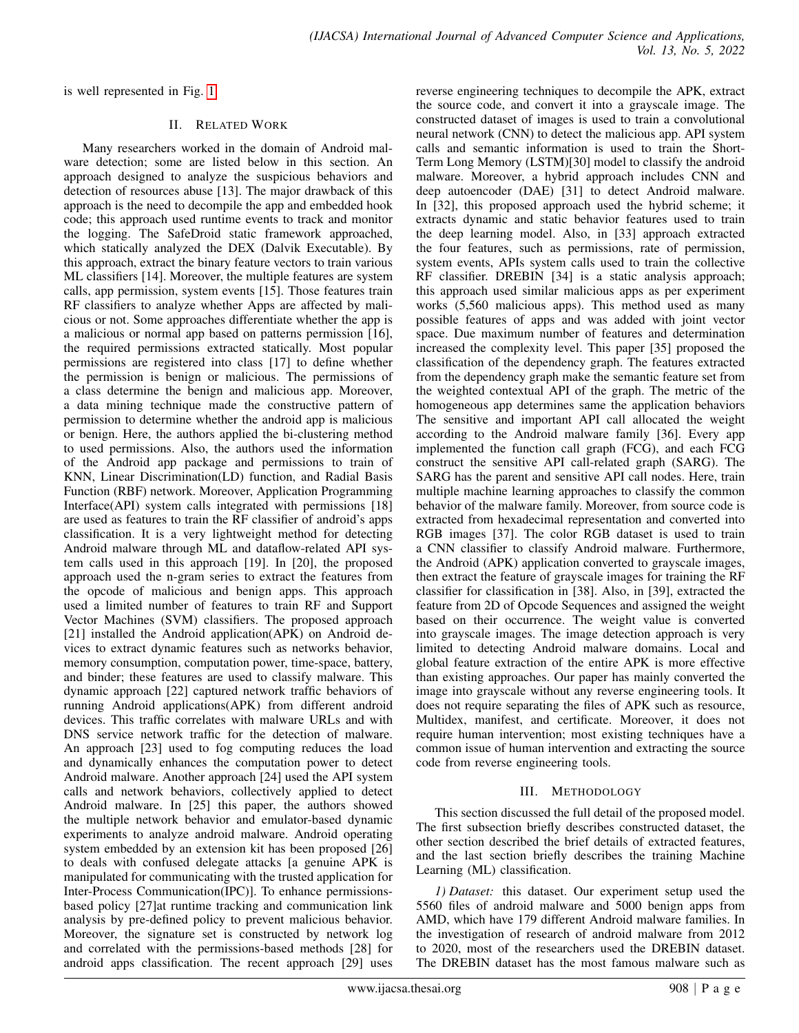is well represented in Fig. [1.](#page-1-0)

# II. RELATED WORK

Many researchers worked in the domain of Android malware detection; some are listed below in this section. An approach designed to analyze the suspicious behaviors and detection of resources abuse [13]. The major drawback of this approach is the need to decompile the app and embedded hook code; this approach used runtime events to track and monitor the logging. The SafeDroid static framework approached, which statically analyzed the DEX (Dalvik Executable). By this approach, extract the binary feature vectors to train various ML classifiers [14]. Moreover, the multiple features are system calls, app permission, system events [15]. Those features train RF classifiers to analyze whether Apps are affected by malicious or not. Some approaches differentiate whether the app is a malicious or normal app based on patterns permission [16], the required permissions extracted statically. Most popular permissions are registered into class [17] to define whether the permission is benign or malicious. The permissions of a class determine the benign and malicious app. Moreover, a data mining technique made the constructive pattern of permission to determine whether the android app is malicious or benign. Here, the authors applied the bi-clustering method to used permissions. Also, the authors used the information of the Android app package and permissions to train of KNN, Linear Discrimination(LD) function, and Radial Basis Function (RBF) network. Moreover, Application Programming Interface(API) system calls integrated with permissions [18] are used as features to train the RF classifier of android's apps classification. It is a very lightweight method for detecting Android malware through ML and dataflow-related API system calls used in this approach [19]. In [20], the proposed approach used the n-gram series to extract the features from the opcode of malicious and benign apps. This approach used a limited number of features to train RF and Support Vector Machines (SVM) classifiers. The proposed approach [21] installed the Android application(APK) on Android devices to extract dynamic features such as networks behavior, memory consumption, computation power, time-space, battery, and binder; these features are used to classify malware. This dynamic approach [22] captured network traffic behaviors of running Android applications(APK) from different android devices. This traffic correlates with malware URLs and with DNS service network traffic for the detection of malware. An approach [23] used to fog computing reduces the load and dynamically enhances the computation power to detect Android malware. Another approach [24] used the API system calls and network behaviors, collectively applied to detect Android malware. In [25] this paper, the authors showed the multiple network behavior and emulator-based dynamic experiments to analyze android malware. Android operating system embedded by an extension kit has been proposed [26] to deals with confused delegate attacks [a genuine APK is manipulated for communicating with the trusted application for Inter-Process Communication(IPC)]. To enhance permissionsbased policy [27]at runtime tracking and communication link analysis by pre-defined policy to prevent malicious behavior. Moreover, the signature set is constructed by network log and correlated with the permissions-based methods [28] for android apps classification. The recent approach [29] uses

reverse engineering techniques to decompile the APK, extract the source code, and convert it into a grayscale image. The constructed dataset of images is used to train a convolutional neural network (CNN) to detect the malicious app. API system calls and semantic information is used to train the Short-Term Long Memory (LSTM)[30] model to classify the android malware. Moreover, a hybrid approach includes CNN and deep autoencoder (DAE) [31] to detect Android malware. In [32], this proposed approach used the hybrid scheme; it extracts dynamic and static behavior features used to train the deep learning model. Also, in [33] approach extracted the four features, such as permissions, rate of permission, system events, APIs system calls used to train the collective RF classifier. DREBIN [34] is a static analysis approach; this approach used similar malicious apps as per experiment works (5,560 malicious apps). This method used as many possible features of apps and was added with joint vector space. Due maximum number of features and determination increased the complexity level. This paper [35] proposed the classification of the dependency graph. The features extracted from the dependency graph make the semantic feature set from the weighted contextual API of the graph. The metric of the homogeneous app determines same the application behaviors The sensitive and important API call allocated the weight according to the Android malware family [36]. Every app implemented the function call graph (FCG), and each FCG construct the sensitive API call-related graph (SARG). The SARG has the parent and sensitive API call nodes. Here, train multiple machine learning approaches to classify the common behavior of the malware family. Moreover, from source code is extracted from hexadecimal representation and converted into RGB images [37]. The color RGB dataset is used to train a CNN classifier to classify Android malware. Furthermore, the Android (APK) application converted to grayscale images, then extract the feature of grayscale images for training the RF classifier for classification in [38]. Also, in [39], extracted the feature from 2D of Opcode Sequences and assigned the weight based on their occurrence. The weight value is converted into grayscale images. The image detection approach is very limited to detecting Android malware domains. Local and global feature extraction of the entire APK is more effective than existing approaches. Our paper has mainly converted the image into grayscale without any reverse engineering tools. It does not require separating the files of APK such as resource, Multidex, manifest, and certificate. Moreover, it does not require human intervention; most existing techniques have a common issue of human intervention and extracting the source code from reverse engineering tools.

# III. METHODOLOGY

This section discussed the full detail of the proposed model. The first subsection briefly describes constructed dataset, the other section described the brief details of extracted features, and the last section briefly describes the training Machine Learning (ML) classification.

*1) Dataset:* this dataset. Our experiment setup used the 5560 files of android malware and 5000 benign apps from AMD, which have 179 different Android malware families. In the investigation of research of android malware from 2012 to 2020, most of the researchers used the DREBIN dataset. The DREBIN dataset has the most famous malware such as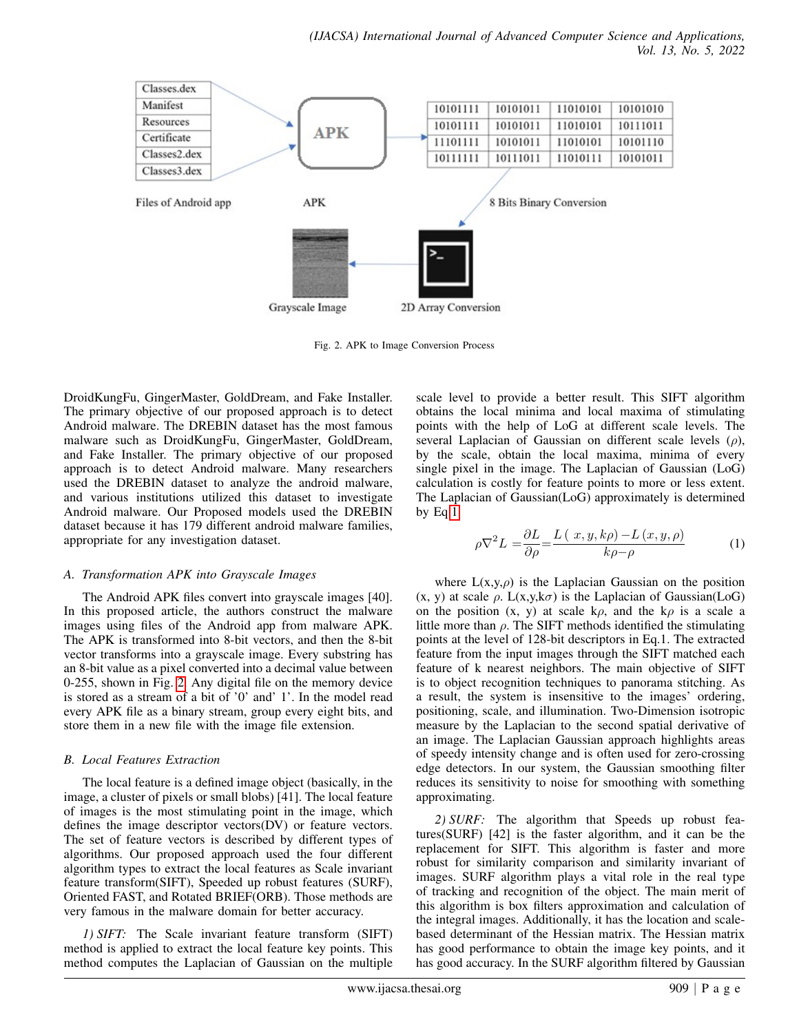<span id="page-3-0"></span>

Fig. 2. APK to Image Conversion Process

DroidKungFu, GingerMaster, GoldDream, and Fake Installer. The primary objective of our proposed approach is to detect Android malware. The DREBIN dataset has the most famous malware such as DroidKungFu, GingerMaster, GoldDream, and Fake Installer. The primary objective of our proposed approach is to detect Android malware. Many researchers used the DREBIN dataset to analyze the android malware, and various institutions utilized this dataset to investigate Android malware. Our Proposed models used the DREBIN dataset because it has 179 different android malware families, appropriate for any investigation dataset.

# *A. Transformation APK into Grayscale Images*

The Android APK files convert into grayscale images [40]. In this proposed article, the authors construct the malware images using files of the Android app from malware APK. The APK is transformed into 8-bit vectors, and then the 8-bit vector transforms into a grayscale image. Every substring has an 8-bit value as a pixel converted into a decimal value between 0-255, shown in Fig. [2.](#page-3-0) Any digital file on the memory device is stored as a stream of a bit of '0' and' 1'. In the model read every APK file as a binary stream, group every eight bits, and store them in a new file with the image file extension.

# *B. Local Features Extraction*

The local feature is a defined image object (basically, in the image, a cluster of pixels or small blobs) [41]. The local feature of images is the most stimulating point in the image, which defines the image descriptor vectors(DV) or feature vectors. The set of feature vectors is described by different types of algorithms. Our proposed approach used the four different algorithm types to extract the local features as Scale invariant feature transform(SIFT), Speeded up robust features (SURF), Oriented FAST, and Rotated BRIEF(ORB). Those methods are very famous in the malware domain for better accuracy.

*1) SIFT:* The Scale invariant feature transform (SIFT) method is applied to extract the local feature key points. This method computes the Laplacian of Gaussian on the multiple

scale level to provide a better result. This SIFT algorithm obtains the local minima and local maxima of stimulating points with the help of LoG at different scale levels. The several Laplacian of Gaussian on different scale levels  $(\rho)$ , by the scale, obtain the local maxima, minima of every single pixel in the image. The Laplacian of Gaussian (LoG) calculation is costly for feature points to more or less extent. The Laplacian of Gaussian(LoG) approximately is determined by Eq[.1.](#page-3-1)

<span id="page-3-1"></span>
$$
\rho \nabla^2 L = \frac{\partial L}{\partial \rho} = \frac{L(x, y, k\rho) - L(x, y, \rho)}{k\rho - \rho}
$$
 (1)

where  $L(x,y,\rho)$  is the Laplacian Gaussian on the position (x, y) at scale  $\rho$ . L(x,y,k $\sigma$ ) is the Laplacian of Gaussian(LoG) on the position  $(x, y)$  at scale k $\rho$ , and the k $\rho$  is a scale a little more than  $\rho$ . The SIFT methods identified the stimulating points at the level of 128-bit descriptors in Eq.1. The extracted feature from the input images through the SIFT matched each feature of k nearest neighbors. The main objective of SIFT is to object recognition techniques to panorama stitching. As a result, the system is insensitive to the images' ordering, positioning, scale, and illumination. Two-Dimension isotropic measure by the Laplacian to the second spatial derivative of an image. The Laplacian Gaussian approach highlights areas of speedy intensity change and is often used for zero-crossing edge detectors. In our system, the Gaussian smoothing filter reduces its sensitivity to noise for smoothing with something approximating.

*2) SURF:* The algorithm that Speeds up robust features(SURF) [42] is the faster algorithm, and it can be the replacement for SIFT. This algorithm is faster and more robust for similarity comparison and similarity invariant of images. SURF algorithm plays a vital role in the real type of tracking and recognition of the object. The main merit of this algorithm is box filters approximation and calculation of the integral images. Additionally, it has the location and scalebased determinant of the Hessian matrix. The Hessian matrix has good performance to obtain the image key points, and it has good accuracy. In the SURF algorithm filtered by Gaussian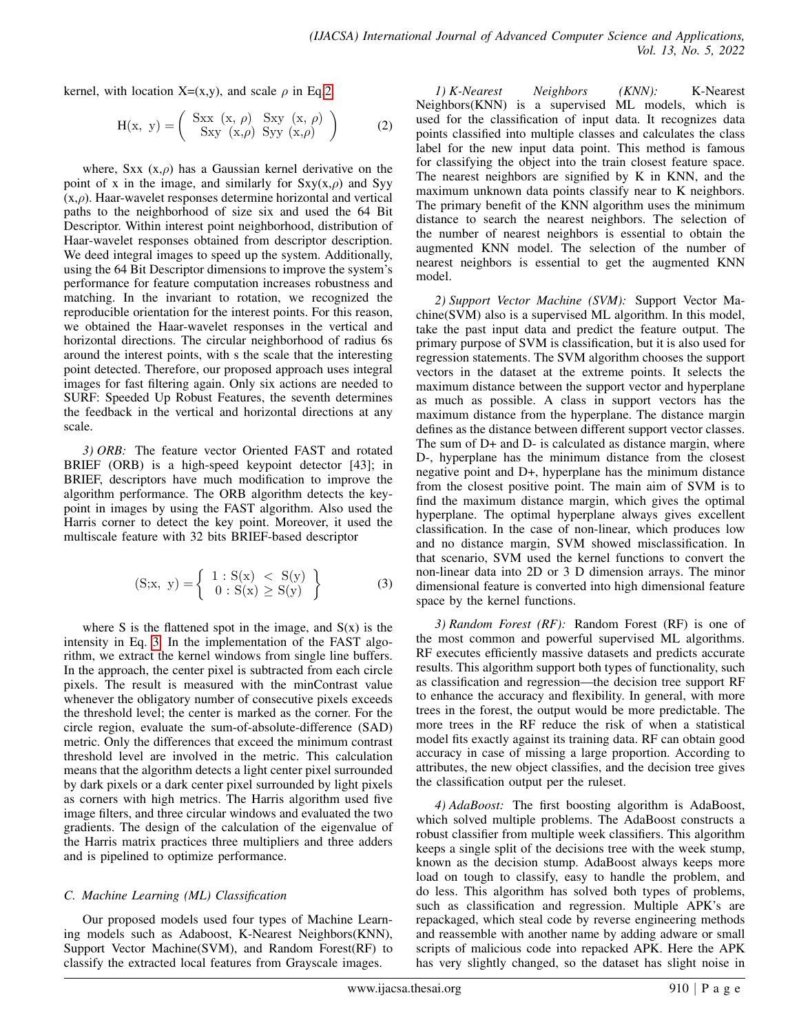kernel, with location X=(x,y), and scale  $\rho$  in Eq[.2.](#page-4-0)

<span id="page-4-0"></span>
$$
H(x, y) = \begin{pmatrix} Sxx(x, \rho) & Sxy(x, \rho) \\ Sxy(x, \rho) & Syy(x, \rho) \end{pmatrix}
$$
 (2)

where, Sxx  $(x, \rho)$  has a Gaussian kernel derivative on the point of x in the image, and similarly for  $Sxy(x, \rho)$  and Syy  $(x, \rho)$ . Haar-wavelet responses determine horizontal and vertical paths to the neighborhood of size six and used the 64 Bit Descriptor. Within interest point neighborhood, distribution of Haar-wavelet responses obtained from descriptor description. We deed integral images to speed up the system. Additionally, using the 64 Bit Descriptor dimensions to improve the system's performance for feature computation increases robustness and matching. In the invariant to rotation, we recognized the reproducible orientation for the interest points. For this reason, we obtained the Haar-wavelet responses in the vertical and horizontal directions. The circular neighborhood of radius 6s around the interest points, with s the scale that the interesting point detected. Therefore, our proposed approach uses integral images for fast filtering again. Only six actions are needed to SURF: Speeded Up Robust Features, the seventh determines the feedback in the vertical and horizontal directions at any scale.

*3) ORB:* The feature vector Oriented FAST and rotated BRIEF (ORB) is a high-speed keypoint detector [43]; in BRIEF, descriptors have much modification to improve the algorithm performance. The ORB algorithm detects the keypoint in images by using the FAST algorithm. Also used the Harris corner to detect the key point. Moreover, it used the multiscale feature with 32 bits BRIEF-based descriptor

<span id="page-4-1"></span>
$$
(S;x, y) = \begin{cases} 1: S(x) < S(y) \\ 0: S(x) \ge S(y) \end{cases} \tag{3}
$$

where S is the flattened spot in the image, and  $S(x)$  is the intensity in Eq. [3.](#page-4-1) In the implementation of the FAST algorithm, we extract the kernel windows from single line buffers. In the approach, the center pixel is subtracted from each circle pixels. The result is measured with the minContrast value whenever the obligatory number of consecutive pixels exceeds the threshold level; the center is marked as the corner. For the circle region, evaluate the sum-of-absolute-difference (SAD) metric. Only the differences that exceed the minimum contrast threshold level are involved in the metric. This calculation means that the algorithm detects a light center pixel surrounded by dark pixels or a dark center pixel surrounded by light pixels as corners with high metrics. The Harris algorithm used five image filters, and three circular windows and evaluated the two gradients. The design of the calculation of the eigenvalue of the Harris matrix practices three multipliers and three adders and is pipelined to optimize performance.

# *C. Machine Learning (ML) Classification*

Our proposed models used four types of Machine Learning models such as Adaboost, K-Nearest Neighbors(KNN), Support Vector Machine(SVM), and Random Forest(RF) to classify the extracted local features from Grayscale images.

*1) K-Nearest Neighbors (KNN):* K-Nearest Neighbors(KNN) is a supervised ML models, which is used for the classification of input data. It recognizes data points classified into multiple classes and calculates the class label for the new input data point. This method is famous for classifying the object into the train closest feature space. The nearest neighbors are signified by K in KNN, and the maximum unknown data points classify near to K neighbors. The primary benefit of the KNN algorithm uses the minimum distance to search the nearest neighbors. The selection of the number of nearest neighbors is essential to obtain the augmented KNN model. The selection of the number of nearest neighbors is essential to get the augmented KNN model.

*2) Support Vector Machine (SVM):* Support Vector Machine(SVM) also is a supervised ML algorithm. In this model, take the past input data and predict the feature output. The primary purpose of SVM is classification, but it is also used for regression statements. The SVM algorithm chooses the support vectors in the dataset at the extreme points. It selects the maximum distance between the support vector and hyperplane as much as possible. A class in support vectors has the maximum distance from the hyperplane. The distance margin defines as the distance between different support vector classes. The sum of D+ and D- is calculated as distance margin, where D-, hyperplane has the minimum distance from the closest negative point and D+, hyperplane has the minimum distance from the closest positive point. The main aim of SVM is to find the maximum distance margin, which gives the optimal hyperplane. The optimal hyperplane always gives excellent classification. In the case of non-linear, which produces low and no distance margin, SVM showed misclassification. In that scenario, SVM used the kernel functions to convert the non-linear data into 2D or 3 D dimension arrays. The minor dimensional feature is converted into high dimensional feature space by the kernel functions.

*3) Random Forest (RF):* Random Forest (RF) is one of the most common and powerful supervised ML algorithms. RF executes efficiently massive datasets and predicts accurate results. This algorithm support both types of functionality, such as classification and regression—the decision tree support RF to enhance the accuracy and flexibility. In general, with more trees in the forest, the output would be more predictable. The more trees in the RF reduce the risk of when a statistical model fits exactly against its training data. RF can obtain good accuracy in case of missing a large proportion. According to attributes, the new object classifies, and the decision tree gives the classification output per the ruleset.

*4) AdaBoost:* The first boosting algorithm is AdaBoost, which solved multiple problems. The AdaBoost constructs a robust classifier from multiple week classifiers. This algorithm keeps a single split of the decisions tree with the week stump, known as the decision stump. AdaBoost always keeps more load on tough to classify, easy to handle the problem, and do less. This algorithm has solved both types of problems, such as classification and regression. Multiple APK's are repackaged, which steal code by reverse engineering methods and reassemble with another name by adding adware or small scripts of malicious code into repacked APK. Here the APK has very slightly changed, so the dataset has slight noise in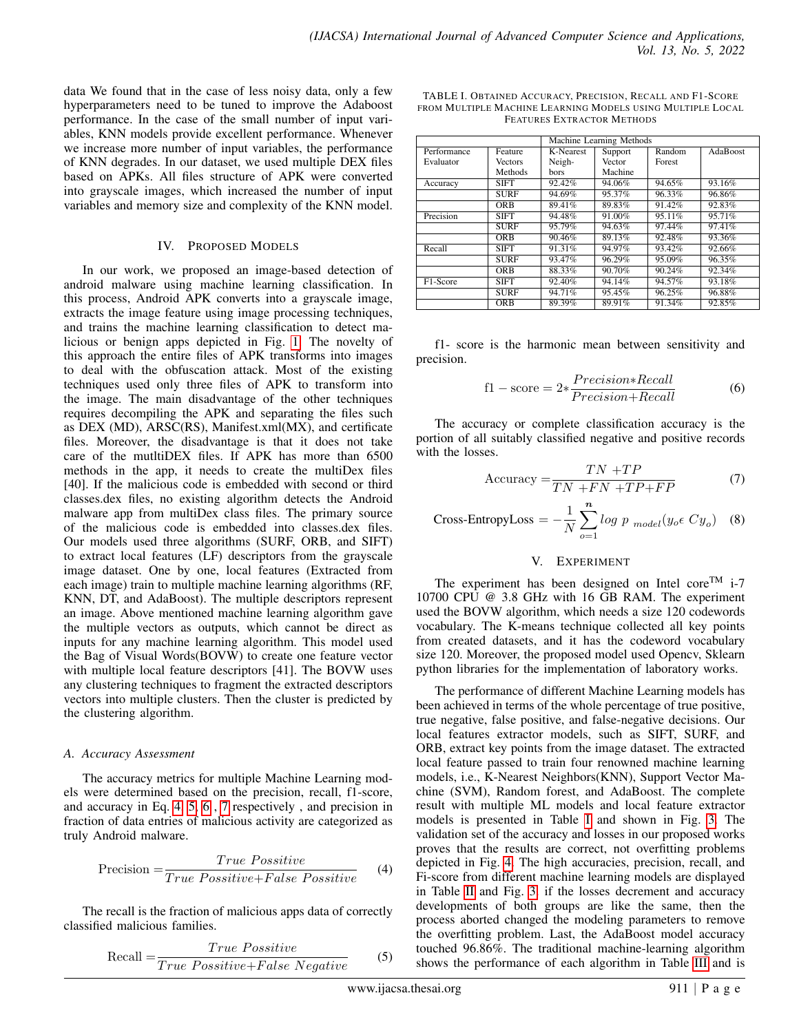data We found that in the case of less noisy data, only a few hyperparameters need to be tuned to improve the Adaboost performance. In the case of the small number of input variables, KNN models provide excellent performance. Whenever we increase more number of input variables, the performance of KNN degrades. In our dataset, we used multiple DEX files based on APKs. All files structure of APK were converted into grayscale images, which increased the number of input variables and memory size and complexity of the KNN model.

#### IV. PROPOSED MODELS

In our work, we proposed an image-based detection of android malware using machine learning classification. In this process, Android APK converts into a grayscale image, extracts the image feature using image processing techniques, and trains the machine learning classification to detect malicious or benign apps depicted in Fig. [1.](#page-1-0) The novelty of this approach the entire files of APK transforms into images to deal with the obfuscation attack. Most of the existing techniques used only three files of APK to transform into the image. The main disadvantage of the other techniques requires decompiling the APK and separating the files such as DEX (MD), ARSC(RS), Manifest.xml(MX), and certificate files. Moreover, the disadvantage is that it does not take care of the mutltiDEX files. If APK has more than 6500 methods in the app, it needs to create the multiDex files [40]. If the malicious code is embedded with second or third classes.dex files, no existing algorithm detects the Android malware app from multiDex class files. The primary source of the malicious code is embedded into classes.dex files. Our models used three algorithms (SURF, ORB, and SIFT) to extract local features (LF) descriptors from the grayscale image dataset. One by one, local features (Extracted from each image) train to multiple machine learning algorithms (RF, KNN, DT, and AdaBoost). The multiple descriptors represent an image. Above mentioned machine learning algorithm gave the multiple vectors as outputs, which cannot be direct as inputs for any machine learning algorithm. This model used the Bag of Visual Words(BOVW) to create one feature vector with multiple local feature descriptors [41]. The BOVW uses any clustering techniques to fragment the extracted descriptors vectors into multiple clusters. Then the cluster is predicted by the clustering algorithm.

# *A. Accuracy Assessment*

The accuracy metrics for multiple Machine Learning models were determined based on the precision, recall, f1-score, and accuracy in Eq. [4,](#page-5-0) [5,](#page-5-1) [6](#page-5-2) , [7](#page-5-3) respectively , and precision in fraction of data entries of malicious activity are categorized as truly Android malware.

<span id="page-5-0"></span>
$$
Precision = \frac{True\; Positive}{True\; Positive + False\; Positive} \tag{4}
$$

The recall is the fraction of malicious apps data of correctly classified malicious families.

<span id="page-5-1"></span>
$$
Recall = \frac{True\ Positive}{True\ Positive + False\ Negative} \tag{5}
$$

<span id="page-5-4"></span>

| TABLE I. OBTAINED ACCURACY, PRECISION, RECALL AND F1-SCORE |  |  |  |  |  |  |
|------------------------------------------------------------|--|--|--|--|--|--|
| FROM MULTIPLE MACHINE LEARNING MODELS USING MULTIPLE LOCAL |  |  |  |  |  |  |
| <b>FEATURES EXTRACTOR METHODS</b>                          |  |  |  |  |  |  |
|                                                            |  |  |  |  |  |  |
| Machine Learning Methods                                   |  |  |  |  |  |  |
| YF WY<br>$\cdots$                                          |  |  |  |  |  |  |

 $\overline{\phantom{0}}$ 

|             |                | <b>Machine Learning Memous</b> |         |           |          |
|-------------|----------------|--------------------------------|---------|-----------|----------|
| Performance | Feature        | K-Nearest                      | Support | Random    | AdaBoost |
| Evaluator   | <b>Vectors</b> | Neigh-                         | Vector  | Forest    |          |
|             | Methods        | bors                           | Machine |           |          |
| Accuracy    | SIFT           | 92.42%                         | 94.06%  | 94.65%    | 93.16%   |
|             | <b>SURF</b>    | 94.69%                         | 95.37%  | 96.33%    | 96.86%   |
|             | <b>ORB</b>     | 89.41%                         | 89.83%  | 91.42%    | 92.83%   |
| Precision   | SIFT           | 94.48%                         | 91.00%  | $95.11\%$ | 95.71%   |
|             | <b>SURF</b>    | 95.79%                         | 94.63%  | 97.44%    | 97.41%   |
|             | <b>ORB</b>     | 90.46%                         | 89.13%  | 92.48%    | 93.36%   |
| Recall      | <b>SIFT</b>    | 91.31%                         | 94.97%  | 93.42%    | 92.66%   |
|             | <b>SURF</b>    | 93.47%                         | 96.29%  | 95.09%    | 96.35%   |
|             | <b>ORB</b>     | 88.33%                         | 90.70%  | 90.24%    | 92.34%   |
| F1-Score    | <b>SIFT</b>    | 92.40%                         | 94.14%  | 94.57%    | 93.18%   |
|             | <b>SURF</b>    | 94.71%                         | 95.45%  | 96.25%    | 96.88%   |
|             | <b>ORB</b>     | 89.39%                         | 89.91%  | 91.34%    | 92.85%   |

f1- score is the harmonic mean between sensitivity and precision.

<span id="page-5-2"></span>
$$
f1 - score = 2* \frac{Precision*Recall}{Precision+Recall}
$$
 (6)

The accuracy or complete classification accuracy is the portion of all suitably classified negative and positive records with the losses.

<span id="page-5-3"></span>
$$
Accuracy = \frac{TN + TP}{TN + FN + TP + FP}
$$
 (7)

Cross-EntropyLoss = 
$$
-\frac{1}{N} \sum_{o=1}^{n} log \ p \ \text{model}(y_o \in Cy_o) \quad (8)
$$

# V. EXPERIMENT

The experiment has been designed on Intel core<sup>TM</sup> i-7 10700 CPU @ 3.8 GHz with 16 GB RAM. The experiment used the BOVW algorithm, which needs a size 120 codewords vocabulary. The K-means technique collected all key points from created datasets, and it has the codeword vocabulary size 120. Moreover, the proposed model used Opencv, Sklearn python libraries for the implementation of laboratory works.

The performance of different Machine Learning models has been achieved in terms of the whole percentage of true positive, true negative, false positive, and false-negative decisions. Our local features extractor models, such as SIFT, SURF, and ORB, extract key points from the image dataset. The extracted local feature passed to train four renowned machine learning models, i.e., K-Nearest Neighbors(KNN), Support Vector Machine (SVM), Random forest, and AdaBoost. The complete result with multiple ML models and local feature extractor models is presented in Table [I](#page-5-4) and shown in Fig. [3.](#page-6-0) The validation set of the accuracy and losses in our proposed works proves that the results are correct, not overfitting problems depicted in Fig. [4.](#page-6-1) The high accuracies, precision, recall, and Fi-score from different machine learning models are displayed in Table [II](#page-7-0) and Fig. [3.](#page-6-0) if the losses decrement and accuracy developments of both groups are like the same, then the process aborted changed the modeling parameters to remove the overfitting problem. Last, the AdaBoost model accuracy touched 96.86%. The traditional machine-learning algorithm shows the performance of each algorithm in Table [III](#page-7-1) and is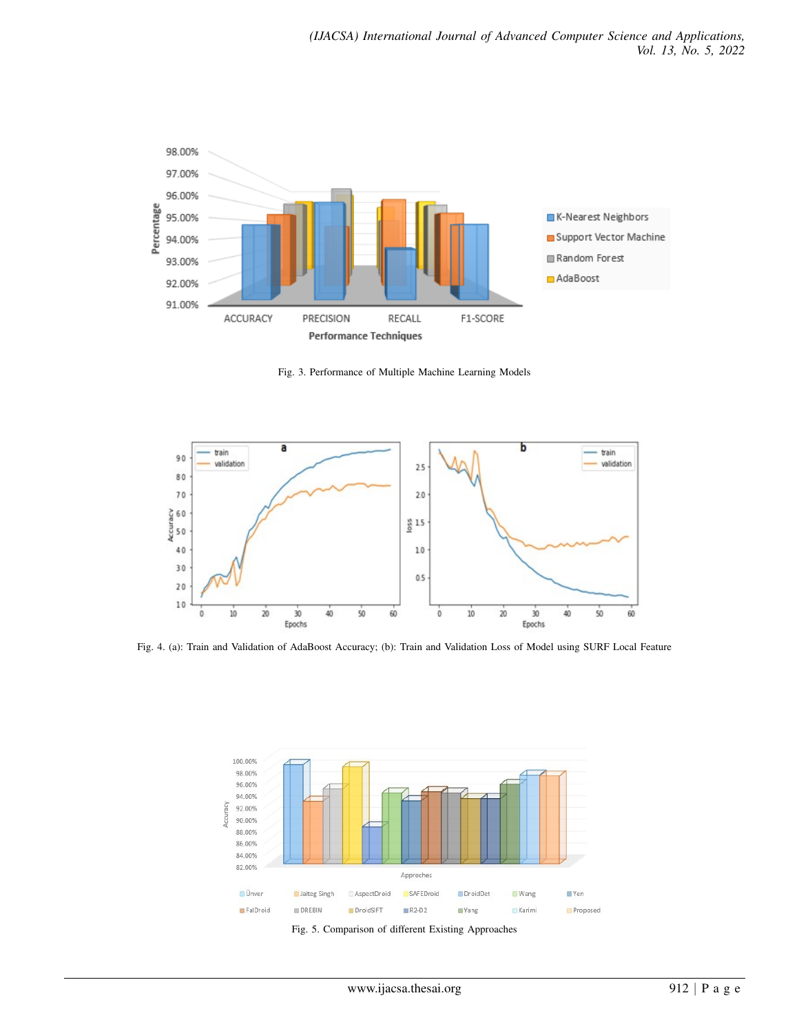<span id="page-6-0"></span>

Fig. 3. Performance of Multiple Machine Learning Models

<span id="page-6-1"></span>

<span id="page-6-2"></span>Fig. 4. (a): Train and Validation of AdaBoost Accuracy; (b): Train and Validation Loss of Model using SURF Local Feature



Fig. 5. Comparison of different Existing Approaches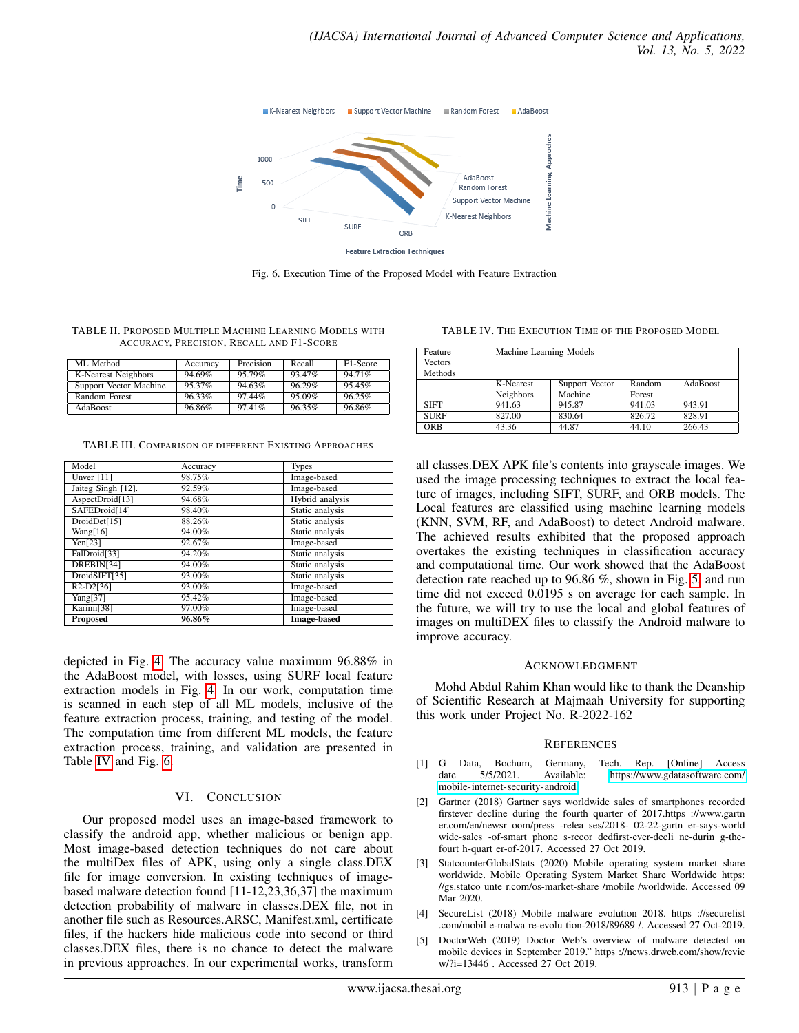<span id="page-7-3"></span>

Fig. 6. Execution Time of the Proposed Model with Feature Extraction

<span id="page-7-0"></span>TABLE II. PROPOSED MULTIPLE MACHINE LEARNING MODELS WITH ACCURACY, PRECISION, RECALL AND F1-SCORE

| ML Method              | Accuracy | Precision | Recall | F <sub>1</sub> -Score |
|------------------------|----------|-----------|--------|-----------------------|
| K-Nearest Neighbors    | 94.69%   | 95.79%    | 93.47% | 94.71%                |
| Support Vector Machine | 95.37%   | 94.63%    | 96.29% | 95.45%                |
| Random Forest          | 96.33%   | 97.44%    | 95.09% | 96.25%                |
| AdaBoost               | 96.86%   | 97.41%    | 96.35% | 96.86%                |

<span id="page-7-1"></span>TABLE III. COMPARISON OF DIFFERENT EXISTING APPROACHES

| Model                               | Accuracy  | <b>Types</b>       |
|-------------------------------------|-----------|--------------------|
| Ünver $[11]$                        | 98.75%    | Image-based        |
| Jaiteg Singh [12].                  | 92.59%    | Image-based        |
| AspectDroid[13]                     | 94.68%    | Hybrid analysis    |
| SAFEDroid[14]                       | 98.40%    | Static analysis    |
| DroidDet[15]                        | 88.26%    | Static analysis    |
| Wang[16]                            | 94.00%    | Static analysis    |
| Yen[23]                             | 92.67%    | Image-based        |
| FalDroid[33]                        | 94.20%    | Static analysis    |
| DREBIN[34]                          | 94.00%    | Static analysis    |
| DroidSIFT[35]                       | 93.00%    | Static analysis    |
| R <sub>2</sub> -D <sub>2</sub> [36] | 93.00%    | Image-based        |
| Yang[37]                            | 95.42%    | Image-based        |
| Karimi[38]                          | 97.00%    | Image-based        |
| <b>Proposed</b>                     | $96.86\%$ | <b>Image-based</b> |

depicted in Fig. [4.](#page-6-1) The accuracy value maximum 96.88% in the AdaBoost model, with losses, using SURF local feature extraction models in Fig. [4.](#page-6-1) In our work, computation time is scanned in each step of all ML models, inclusive of the feature extraction process, training, and testing of the model. The computation time from different ML models, the feature extraction process, training, and validation are presented in Table [IV](#page-7-2) and Fig. [6.](#page-7-3)

# VI. CONCLUSION

Our proposed model uses an image-based framework to classify the android app, whether malicious or benign app. Most image-based detection techniques do not care about the multiDex files of APK, using only a single class.DEX file for image conversion. In existing techniques of imagebased malware detection found [11-12,23,36,37] the maximum detection probability of malware in classes.DEX file, not in another file such as Resources.ARSC, Manifest.xml, certificate files, if the hackers hide malicious code into second or third classes.DEX files, there is no chance to detect the malware in previous approaches. In our experimental works, transform

<span id="page-7-2"></span>TABLE IV. THE EXECUTION TIME OF THE PROPOSED MODEL

| Feature<br><b>Vectors</b><br>Methods | Machine Learning Models |                |        |          |  |
|--------------------------------------|-------------------------|----------------|--------|----------|--|
|                                      | K-Nearest               | Support Vector | Random | AdaBoost |  |
|                                      | Neighbors               | Machine        | Forest |          |  |
| <b>SIFT</b>                          | 941.63                  | 945.87         | 941.03 | 943.91   |  |
| <b>SURF</b>                          | 827.00                  | 830.64         | 826.72 | 828.91   |  |
| ORB                                  | 43.36                   | 44.87          | 44.10  | 266.43   |  |

all classes.DEX APK file's contents into grayscale images. We used the image processing techniques to extract the local feature of images, including SIFT, SURF, and ORB models. The Local features are classified using machine learning models (KNN, SVM, RF, and AdaBoost) to detect Android malware. The achieved results exhibited that the proposed approach overtakes the existing techniques in classification accuracy and computational time. Our work showed that the AdaBoost detection rate reached up to 96.86 %, shown in Fig. [5,](#page-6-2) and run time did not exceed 0.0195 s on average for each sample. In the future, we will try to use the local and global features of images on multiDEX files to classify the Android malware to improve accuracy.

# **ACKNOWLEDGMENT**

Mohd Abdul Rahim Khan would like to thank the Deanship of Scientific Research at Majmaah University for supporting this work under Project No. R-2022-162

# **REFERENCES**

- [1] G Data, Bochum, Germany, Tech. Rep. [Online] Access date 5/5/2021. Available: [https://www.gdatasoftware.com/](https://www.gdatasoftware.com/mobile-internet-security-android) [mobile-internet-security-android.](https://www.gdatasoftware.com/mobile-internet-security-android)
- [2] Gartner (2018) Gartner says worldwide sales of smartphones recorded firstever decline during the fourth quarter of 2017.https ://www.gartn er.com/en/newsr oom/press -relea ses/2018- 02-22-gartn er-says-world wide-sales -of-smart phone s-recor dedfirst-ever-decli ne-durin g-thefourt h-quart er-of-2017. Accessed 27 Oct 2019.
- [3] StatcounterGlobalStats (2020) Mobile operating system market share worldwide. Mobile Operating System Market Share Worldwide https: //gs.statco unte r.com/os-market-share /mobile /worldwide. Accessed 09 Mar 2020.
- [4] SecureList (2018) Mobile malware evolution 2018. https ://securelist .com/mobil e-malwa re-evolu tion-2018/89689 /. Accessed 27 Oct-2019.
- [5] DoctorWeb (2019) Doctor Web's overview of malware detected on mobile devices in September 2019." https ://news.drweb.com/show/revie w/?i=13446 . Accessed 27 Oct 2019.